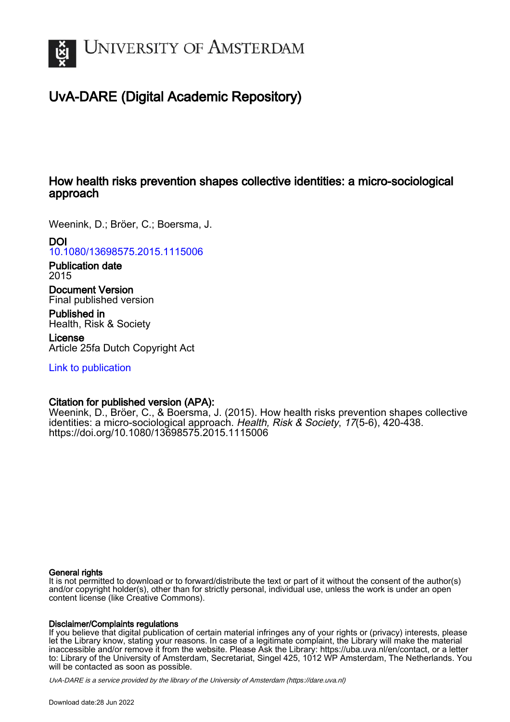

# UvA-DARE (Digital Academic Repository)

## How health risks prevention shapes collective identities: a micro-sociological approach

Weenink, D.; Bröer, C.; Boersma, J.

## DOI

[10.1080/13698575.2015.1115006](https://doi.org/10.1080/13698575.2015.1115006)

Publication date 2015

Document Version Final published version

Published in Health, Risk & Society

License Article 25fa Dutch Copyright Act

[Link to publication](https://dare.uva.nl/personal/pure/en/publications/how-health-risks-prevention-shapes-collective-identities-a-microsociological-approach(23cf809e-dbb1-402a-b332-763b2e3da7fc).html)

## Citation for published version (APA):

Weenink, D., Bröer, C., & Boersma, J. (2015). How health risks prevention shapes collective identities: a micro-sociological approach. Health, Risk & Society, 17(5-6), 420-438. <https://doi.org/10.1080/13698575.2015.1115006>

## General rights

It is not permitted to download or to forward/distribute the text or part of it without the consent of the author(s) and/or copyright holder(s), other than for strictly personal, individual use, unless the work is under an open content license (like Creative Commons).

## Disclaimer/Complaints regulations

If you believe that digital publication of certain material infringes any of your rights or (privacy) interests, please let the Library know, stating your reasons. In case of a legitimate complaint, the Library will make the material inaccessible and/or remove it from the website. Please Ask the Library: https://uba.uva.nl/en/contact, or a letter to: Library of the University of Amsterdam, Secretariat, Singel 425, 1012 WP Amsterdam, The Netherlands. You will be contacted as soon as possible.

UvA-DARE is a service provided by the library of the University of Amsterdam (http*s*://dare.uva.nl)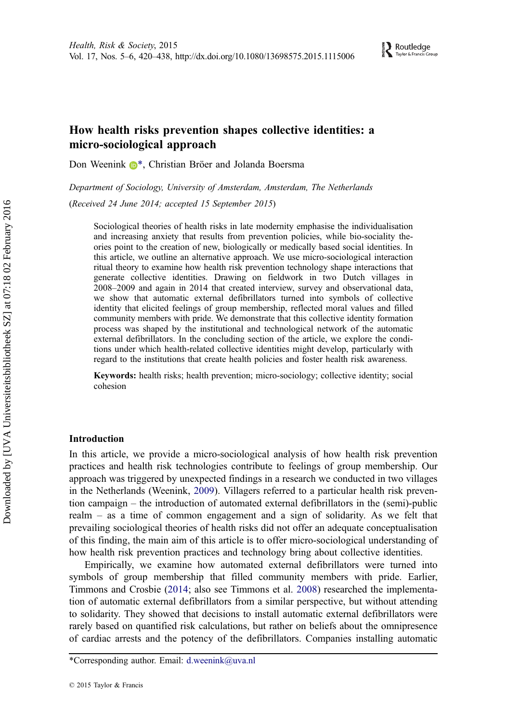## <span id="page-1-0"></span>How health risks prevention shapes collective identities: a micro-sociological approach

Don Weenink  $\mathbb{D}^*$  $\mathbb{D}^*$ , Christian Bröer and Jolanda Boersma

Department of Sociology, University of Amsterdam, Amsterdam, The Netherlands

(Received 24 June 2014; accepted 15 September 2015)

Sociological theories of health risks in late modernity emphasise the individualisation and increasing anxiety that results from prevention policies, while bio-sociality theories point to the creation of new, biologically or medically based social identities. In this article, we outline an alternative approach. We use micro-sociological interaction ritual theory to examine how health risk prevention technology shape interactions that generate collective identities. Drawing on fieldwork in two Dutch villages in 2008–2009 and again in 2014 that created interview, survey and observational data, we show that automatic external defibrillators turned into symbols of collective identity that elicited feelings of group membership, reflected moral values and filled community members with pride. We demonstrate that this collective identity formation process was shaped by the institutional and technological network of the automatic external defibrillators. In the concluding section of the article, we explore the conditions under which health-related collective identities might develop, particularly with regard to the institutions that create health policies and foster health risk awareness.

Keywords: health risks; health prevention; micro-sociology; collective identity; social cohesion

#### Introduction

In this article, we provide a micro-sociological analysis of how health risk prevention practices and health risk technologies contribute to feelings of group membership. Our approach was triggered by unexpected findings in a research we conducted in two villages in the Netherlands (Weenink, [2009\)](#page-19-0). Villagers referred to a particular health risk prevention campaign – the introduction of automated external defibrillators in the (semi)-public realm – as a time of common engagement and a sign of solidarity. As we felt that prevailing sociological theories of health risks did not offer an adequate conceptualisation of this finding, the main aim of this article is to offer micro-sociological understanding of how health risk prevention practices and technology bring about collective identities.

Empirically, we examine how automated external defibrillators were turned into symbols of group membership that filled community members with pride. Earlier, Timmons and Crosbie [\(2014](#page-19-0); also see Timmons et al. [2008\)](#page-19-0) researched the implementation of automatic external defibrillators from a similar perspective, but without attending to solidarity. They showed that decisions to install automatic external defibrillators were rarely based on quantified risk calculations, but rather on beliefs about the omnipresence of cardiac arrests and the potency of the defibrillators. Companies installing automatic

<sup>\*</sup>Corresponding author. Email: d.weenink@uva.nl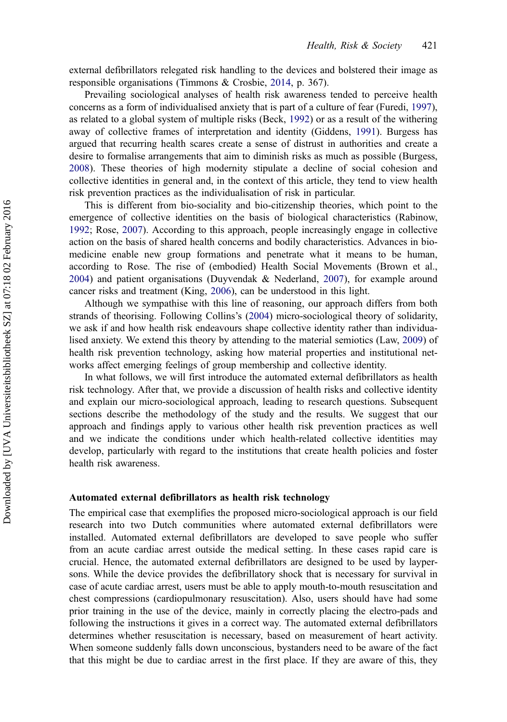<span id="page-2-0"></span>external defibrillators relegated risk handling to the devices and bolstered their image as responsible organisations (Timmons & Crosbie, [2014](#page-19-0), p. 367).

Prevailing sociological analyses of health risk awareness tended to perceive health concerns as a form of individualised anxiety that is part of a culture of fear (Furedi, [1997](#page-18-0)), as related to a global system of multiple risks (Beck, [1992](#page-18-0)) or as a result of the withering away of collective frames of interpretation and identity (Giddens, [1991](#page-18-0)). Burgess has argued that recurring health scares create a sense of distrust in authorities and create a desire to formalise arrangements that aim to diminish risks as much as possible (Burgess, [2008](#page-18-0)). These theories of high modernity stipulate a decline of social cohesion and collective identities in general and, in the context of this article, they tend to view health risk prevention practices as the individualisation of risk in particular.

This is different from bio-sociality and bio-citizenship theories, which point to the emergence of collective identities on the basis of biological characteristics (Rabinow, [1992](#page-19-0); Rose, [2007\)](#page-19-0). According to this approach, people increasingly engage in collective action on the basis of shared health concerns and bodily characteristics. Advances in biomedicine enable new group formations and penetrate what it means to be human, according to Rose. The rise of (embodied) Health Social Movements (Brown et al., [2004](#page-18-0)) and patient organisations (Duyvendak & Nederland, [2007\)](#page-18-0), for example around cancer risks and treatment (King, [2006](#page-18-0)), can be understood in this light.

Although we sympathise with this line of reasoning, our approach differs from both strands of theorising. Following Collins's [\(2004](#page-18-0)) micro-sociological theory of solidarity, we ask if and how health risk endeavours shape collective identity rather than individualised anxiety. We extend this theory by attending to the material semiotics (Law, [2009\)](#page-18-0) of health risk prevention technology, asking how material properties and institutional networks affect emerging feelings of group membership and collective identity.

In what follows, we will first introduce the automated external defibrillators as health risk technology. After that, we provide a discussion of health risks and collective identity and explain our micro-sociological approach, leading to research questions. Subsequent sections describe the methodology of the study and the results. We suggest that our approach and findings apply to various other health risk prevention practices as well and we indicate the conditions under which health-related collective identities may develop, particularly with regard to the institutions that create health policies and foster health risk awareness.

#### Automated external defibrillators as health risk technology

The empirical case that exemplifies the proposed micro-sociological approach is our field research into two Dutch communities where automated external defibrillators were installed. Automated external defibrillators are developed to save people who suffer from an acute cardiac arrest outside the medical setting. In these cases rapid care is crucial. Hence, the automated external defibrillators are designed to be used by laypersons. While the device provides the defibrillatory shock that is necessary for survival in case of acute cardiac arrest, users must be able to apply mouth-to-mouth resuscitation and chest compressions (cardiopulmonary resuscitation). Also, users should have had some prior training in the use of the device, mainly in correctly placing the electro-pads and following the instructions it gives in a correct way. The automated external defibrillators determines whether resuscitation is necessary, based on measurement of heart activity. When someone suddenly falls down unconscious, bystanders need to be aware of the fact that this might be due to cardiac arrest in the first place. If they are aware of this, they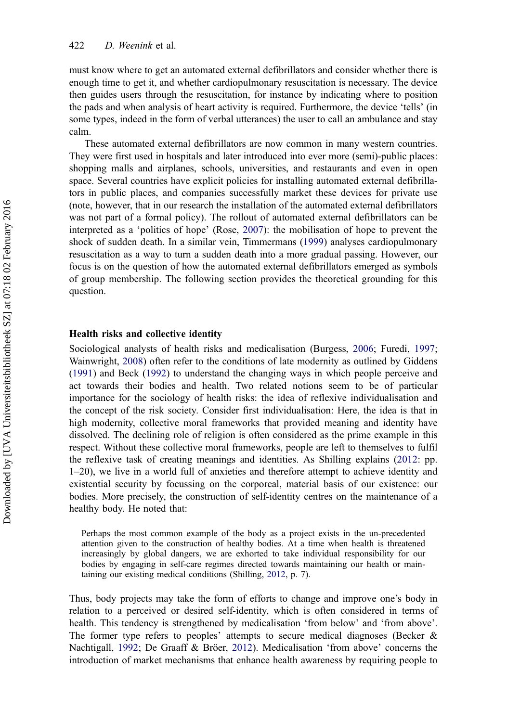<span id="page-3-0"></span>must know where to get an automated external defibrillators and consider whether there is enough time to get it, and whether cardiopulmonary resuscitation is necessary. The device then guides users through the resuscitation, for instance by indicating where to position the pads and when analysis of heart activity is required. Furthermore, the device 'tells' (in some types, indeed in the form of verbal utterances) the user to call an ambulance and stay calm.

These automated external defibrillators are now common in many western countries. They were first used in hospitals and later introduced into ever more (semi)-public places: shopping malls and airplanes, schools, universities, and restaurants and even in open space. Several countries have explicit policies for installing automated external defibrillators in public places, and companies successfully market these devices for private use (note, however, that in our research the installation of the automated external defibrillators was not part of a formal policy). The rollout of automated external defibrillators can be interpreted as a 'politics of hope' (Rose, [2007](#page-19-0)): the mobilisation of hope to prevent the shock of sudden death. In a similar vein, Timmermans [\(1999](#page-19-0)) analyses cardiopulmonary resuscitation as a way to turn a sudden death into a more gradual passing. However, our focus is on the question of how the automated external defibrillators emerged as symbols of group membership. The following section provides the theoretical grounding for this question.

#### Health risks and collective identity

Sociological analysts of health risks and medicalisation (Burgess, [2006;](#page-18-0) Furedi, [1997](#page-18-0); Wainwright, [2008](#page-19-0)) often refer to the conditions of late modernity as outlined by Giddens ([1991](#page-18-0)) and Beck [\(1992](#page-18-0)) to understand the changing ways in which people perceive and act towards their bodies and health. Two related notions seem to be of particular importance for the sociology of health risks: the idea of reflexive individualisation and the concept of the risk society. Consider first individualisation: Here, the idea is that in high modernity, collective moral frameworks that provided meaning and identity have dissolved. The declining role of religion is often considered as the prime example in this respect. Without these collective moral frameworks, people are left to themselves to fulfil the reflexive task of creating meanings and identities. As Shilling explains ([2012](#page-19-0): pp. 1–20), we live in a world full of anxieties and therefore attempt to achieve identity and existential security by focussing on the corporeal, material basis of our existence: our bodies. More precisely, the construction of self-identity centres on the maintenance of a healthy body. He noted that:

Perhaps the most common example of the body as a project exists in the un-precedented attention given to the construction of healthy bodies. At a time when health is threatened increasingly by global dangers, we are exhorted to take individual responsibility for our bodies by engaging in self-care regimes directed towards maintaining our health or maintaining our existing medical conditions (Shilling, [2012,](#page-19-0) p. 7).

Thus, body projects may take the form of efforts to change and improve one's body in relation to a perceived or desired self-identity, which is often considered in terms of health. This tendency is strengthened by medicalisation 'from below' and 'from above'. The former type refers to peoples' attempts to secure medical diagnoses (Becker & Nachtigall, [1992;](#page-18-0) De Graaff & Bröer, [2012\)](#page-18-0). Medicalisation 'from above' concerns the introduction of market mechanisms that enhance health awareness by requiring people to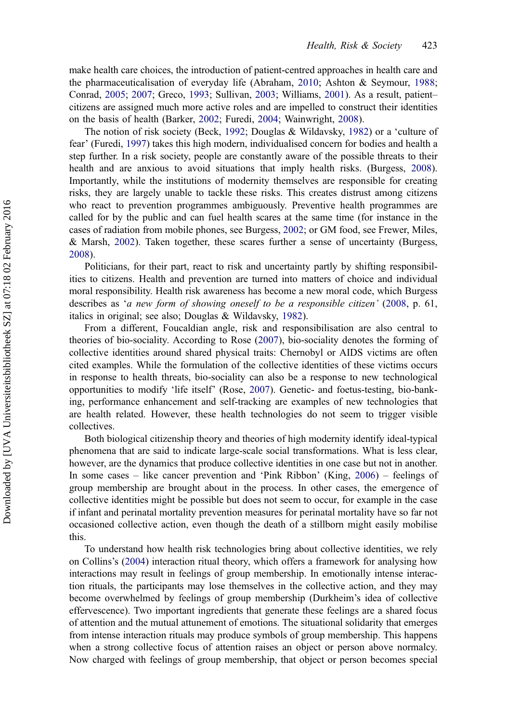<span id="page-4-0"></span>make health care choices, the introduction of patient-centred approaches in health care and the pharmaceuticalisation of everyday life (Abraham, [2010](#page-18-0); Ashton & Seymour, [1988](#page-18-0); Conrad, [2005](#page-18-0); [2007](#page-18-0); Greco, [1993;](#page-18-0) Sullivan, [2003](#page-19-0); Williams, [2001\)](#page-19-0). As a result, patient– citizens are assigned much more active roles and are impelled to construct their identities on the basis of health (Barker, [2002](#page-18-0); Furedi, [2004;](#page-18-0) Wainwright, [2008](#page-19-0)).

The notion of risk society (Beck, [1992;](#page-18-0) Douglas & Wildavsky, [1982\)](#page-18-0) or a 'culture of fear' (Furedi, [1997\)](#page-18-0) takes this high modern, individualised concern for bodies and health a step further. In a risk society, people are constantly aware of the possible threats to their health and are anxious to avoid situations that imply health risks. (Burgess, [2008](#page-18-0)). Importantly, while the institutions of modernity themselves are responsible for creating risks, they are largely unable to tackle these risks. This creates distrust among citizens who react to prevention programmes ambiguously. Preventive health programmes are called for by the public and can fuel health scares at the same time (for instance in the cases of radiation from mobile phones, see Burgess, [2002;](#page-18-0) or GM food, see Frewer, Miles, & Marsh, [2002](#page-18-0)). Taken together, these scares further a sense of uncertainty (Burgess, [2008](#page-18-0)).

Politicians, for their part, react to risk and uncertainty partly by shifting responsibilities to citizens. Health and prevention are turned into matters of choice and individual moral responsibility. Health risk awareness has become a new moral code, which Burgess describes as 'a new form of showing oneself to be a responsible citizen' ([2008](#page-18-0), p. 61, italics in original; see also; Douglas & Wildavsky, [1982](#page-18-0)).

From a different, Foucaldian angle, risk and responsibilisation are also central to theories of bio-sociality. According to Rose [\(2007](#page-19-0)), bio-sociality denotes the forming of collective identities around shared physical traits: Chernobyl or AIDS victims are often cited examples. While the formulation of the collective identities of these victims occurs in response to health threats, bio-sociality can also be a response to new technological opportunities to modify 'life itself' (Rose, [2007\)](#page-19-0). Genetic- and foetus-testing, bio-banking, performance enhancement and self-tracking are examples of new technologies that are health related. However, these health technologies do not seem to trigger visible collectives.

Both biological citizenship theory and theories of high modernity identify ideal-typical phenomena that are said to indicate large-scale social transformations. What is less clear, however, are the dynamics that produce collective identities in one case but not in another. In some cases – like cancer prevention and 'Pink Ribbon' (King, [2006\)](#page-18-0) – feelings of group membership are brought about in the process. In other cases, the emergence of collective identities might be possible but does not seem to occur, for example in the case if infant and perinatal mortality prevention measures for perinatal mortality have so far not occasioned collective action, even though the death of a stillborn might easily mobilise this.

To understand how health risk technologies bring about collective identities, we rely on Collins's ([2004\)](#page-18-0) interaction ritual theory, which offers a framework for analysing how interactions may result in feelings of group membership. In emotionally intense interaction rituals, the participants may lose themselves in the collective action, and they may become overwhelmed by feelings of group membership (Durkheim's idea of collective effervescence). Two important ingredients that generate these feelings are a shared focus of attention and the mutual attunement of emotions. The situational solidarity that emerges from intense interaction rituals may produce symbols of group membership. This happens when a strong collective focus of attention raises an object or person above normalcy. Now charged with feelings of group membership, that object or person becomes special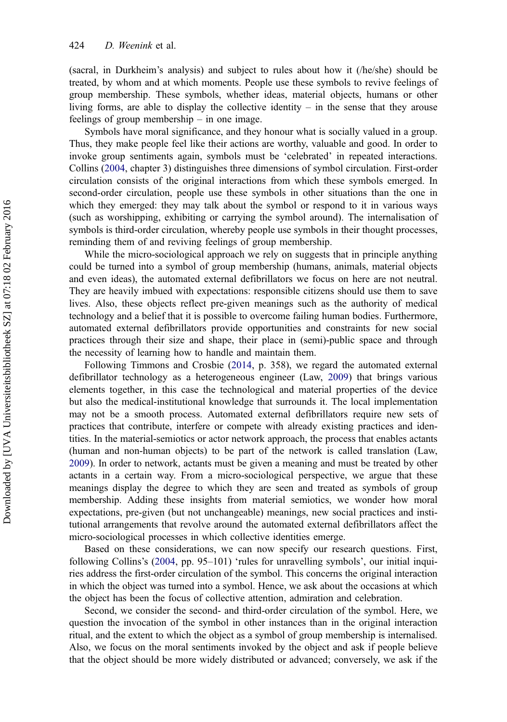(sacral, in Durkheim's analysis) and subject to rules about how it (/he/she) should be treated, by whom and at which moments. People use these symbols to revive feelings of group membership. These symbols, whether ideas, material objects, humans or other living forms, are able to display the collective identity  $-$  in the sense that they arouse feelings of group membership – in one image.

Symbols have moral significance, and they honour what is socially valued in a group. Thus, they make people feel like their actions are worthy, valuable and good. In order to invoke group sentiments again, symbols must be 'celebrated' in repeated interactions. Collins ([2004,](#page-18-0) chapter 3) distinguishes three dimensions of symbol circulation. First-order circulation consists of the original interactions from which these symbols emerged. In second-order circulation, people use these symbols in other situations than the one in which they emerged: they may talk about the symbol or respond to it in various ways (such as worshipping, exhibiting or carrying the symbol around). The internalisation of symbols is third-order circulation, whereby people use symbols in their thought processes, reminding them of and reviving feelings of group membership.

While the micro-sociological approach we rely on suggests that in principle anything could be turned into a symbol of group membership (humans, animals, material objects and even ideas), the automated external defibrillators we focus on here are not neutral. They are heavily imbued with expectations: responsible citizens should use them to save lives. Also, these objects reflect pre-given meanings such as the authority of medical technology and a belief that it is possible to overcome failing human bodies. Furthermore, automated external defibrillators provide opportunities and constraints for new social practices through their size and shape, their place in (semi)-public space and through the necessity of learning how to handle and maintain them.

Following Timmons and Crosbie [\(2014](#page-19-0), p. 358), we regard the automated external defibrillator technology as a heterogeneous engineer (Law, [2009](#page-18-0)) that brings various elements together, in this case the technological and material properties of the device but also the medical-institutional knowledge that surrounds it. The local implementation may not be a smooth process. Automated external defibrillators require new sets of practices that contribute, interfere or compete with already existing practices and identities. In the material-semiotics or actor network approach, the process that enables actants (human and non-human objects) to be part of the network is called translation (Law, [2009](#page-18-0)). In order to network, actants must be given a meaning and must be treated by other actants in a certain way. From a micro-sociological perspective, we argue that these meanings display the degree to which they are seen and treated as symbols of group membership. Adding these insights from material semiotics, we wonder how moral expectations, pre-given (but not unchangeable) meanings, new social practices and institutional arrangements that revolve around the automated external defibrillators affect the micro-sociological processes in which collective identities emerge.

Based on these considerations, we can now specify our research questions. First, following Collins's ([2004,](#page-18-0) pp. 95–101) 'rules for unravelling symbols', our initial inquiries address the first-order circulation of the symbol. This concerns the original interaction in which the object was turned into a symbol. Hence, we ask about the occasions at which the object has been the focus of collective attention, admiration and celebration.

Second, we consider the second- and third-order circulation of the symbol. Here, we question the invocation of the symbol in other instances than in the original interaction ritual, and the extent to which the object as a symbol of group membership is internalised. Also, we focus on the moral sentiments invoked by the object and ask if people believe that the object should be more widely distributed or advanced; conversely, we ask if the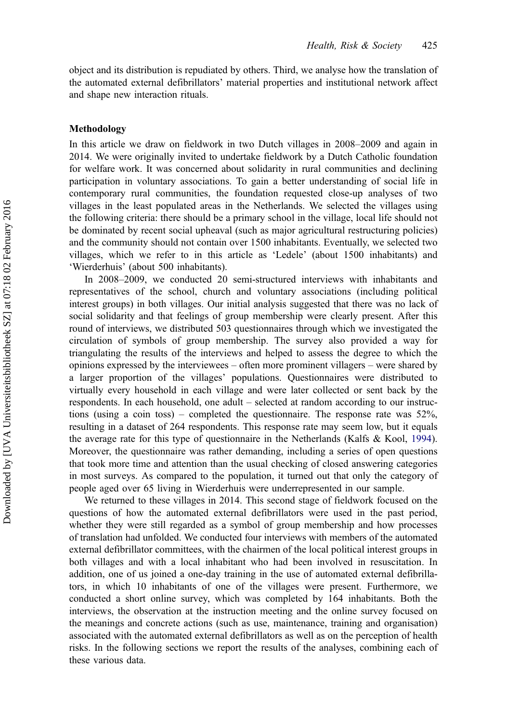<span id="page-6-0"></span>object and its distribution is repudiated by others. Third, we analyse how the translation of the automated external defibrillators' material properties and institutional network affect and shape new interaction rituals.

#### Methodology

In this article we draw on fieldwork in two Dutch villages in 2008–2009 and again in 2014. We were originally invited to undertake fieldwork by a Dutch Catholic foundation for welfare work. It was concerned about solidarity in rural communities and declining participation in voluntary associations. To gain a better understanding of social life in contemporary rural communities, the foundation requested close-up analyses of two villages in the least populated areas in the Netherlands. We selected the villages using the following criteria: there should be a primary school in the village, local life should not be dominated by recent social upheaval (such as major agricultural restructuring policies) and the community should not contain over 1500 inhabitants. Eventually, we selected two villages, which we refer to in this article as 'Ledele' (about 1500 inhabitants) and 'Wierderhuis' (about 500 inhabitants).

In 2008–2009, we conducted 20 semi-structured interviews with inhabitants and representatives of the school, church and voluntary associations (including political interest groups) in both villages. Our initial analysis suggested that there was no lack of social solidarity and that feelings of group membership were clearly present. After this round of interviews, we distributed 503 questionnaires through which we investigated the circulation of symbols of group membership. The survey also provided a way for triangulating the results of the interviews and helped to assess the degree to which the opinions expressed by the interviewees – often more prominent villagers – were shared by a larger proportion of the villages' populations. Questionnaires were distributed to virtually every household in each village and were later collected or sent back by the respondents. In each household, one adult – selected at random according to our instructions (using a coin toss) – completed the questionnaire. The response rate was 52%, resulting in a dataset of 264 respondents. This response rate may seem low, but it equals the average rate for this type of questionnaire in the Netherlands (Kalfs & Kool, [1994](#page-18-0)). Moreover, the questionnaire was rather demanding, including a series of open questions that took more time and attention than the usual checking of closed answering categories in most surveys. As compared to the population, it turned out that only the category of people aged over 65 living in Wierderhuis were underrepresented in our sample.

We returned to these villages in 2014. This second stage of fieldwork focused on the questions of how the automated external defibrillators were used in the past period, whether they were still regarded as a symbol of group membership and how processes of translation had unfolded. We conducted four interviews with members of the automated external defibrillator committees, with the chairmen of the local political interest groups in both villages and with a local inhabitant who had been involved in resuscitation. In addition, one of us joined a one-day training in the use of automated external defibrillators, in which 10 inhabitants of one of the villages were present. Furthermore, we conducted a short online survey, which was completed by 164 inhabitants. Both the interviews, the observation at the instruction meeting and the online survey focused on the meanings and concrete actions (such as use, maintenance, training and organisation) associated with the automated external defibrillators as well as on the perception of health risks. In the following sections we report the results of the analyses, combining each of these various data.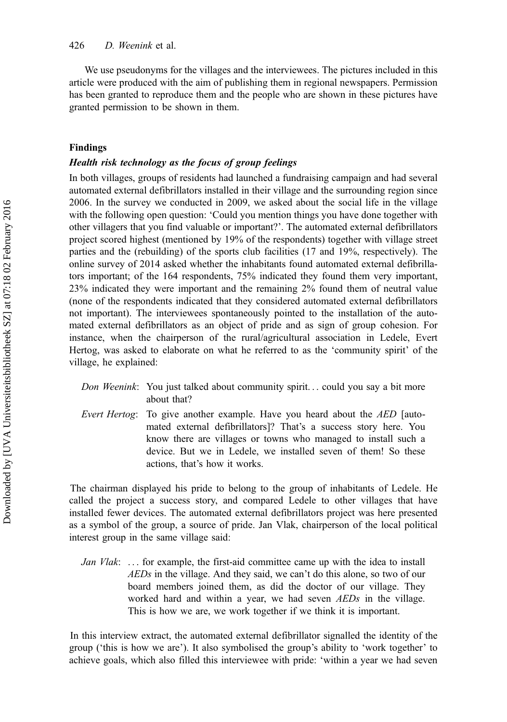We use pseudonyms for the villages and the interviewees. The pictures included in this article were produced with the aim of publishing them in regional newspapers. Permission has been granted to reproduce them and the people who are shown in these pictures have granted permission to be shown in them.

### Findings

#### Health risk technology as the focus of group feelings

In both villages, groups of residents had launched a fundraising campaign and had several automated external defibrillators installed in their village and the surrounding region since 2006. In the survey we conducted in 2009, we asked about the social life in the village with the following open question: 'Could you mention things you have done together with other villagers that you find valuable or important?'. The automated external defibrillators project scored highest (mentioned by 19% of the respondents) together with village street parties and the (rebuilding) of the sports club facilities (17 and 19%, respectively). The online survey of 2014 asked whether the inhabitants found automated external defibrillators important; of the 164 respondents, 75% indicated they found them very important, 23% indicated they were important and the remaining 2% found them of neutral value (none of the respondents indicated that they considered automated external defibrillators not important). The interviewees spontaneously pointed to the installation of the automated external defibrillators as an object of pride and as sign of group cohesion. For instance, when the chairperson of the rural/agricultural association in Ledele, Evert Hertog, was asked to elaborate on what he referred to as the 'community spirit' of the village, he explained:

- Don Weenink: You just talked about community spirit. . . could you say a bit more about that?
- Evert Hertog: To give another example. Have you heard about the AED [automated external defibrillators]? That's a success story here. You know there are villages or towns who managed to install such a device. But we in Ledele, we installed seven of them! So these actions, that's how it works.

The chairman displayed his pride to belong to the group of inhabitants of Ledele. He called the project a success story, and compared Ledele to other villages that have installed fewer devices. The automated external defibrillators project was here presented as a symbol of the group, a source of pride. Jan Vlak, chairperson of the local political interest group in the same village said:

Jan Vlak: ... for example, the first-aid committee came up with the idea to install AEDs in the village. And they said, we can't do this alone, so two of our board members joined them, as did the doctor of our village. They worked hard and within a year, we had seven AEDs in the village. This is how we are, we work together if we think it is important.

In this interview extract, the automated external defibrillator signalled the identity of the group ('this is how we are'). It also symbolised the group's ability to 'work together' to achieve goals, which also filled this interviewee with pride: 'within a year we had seven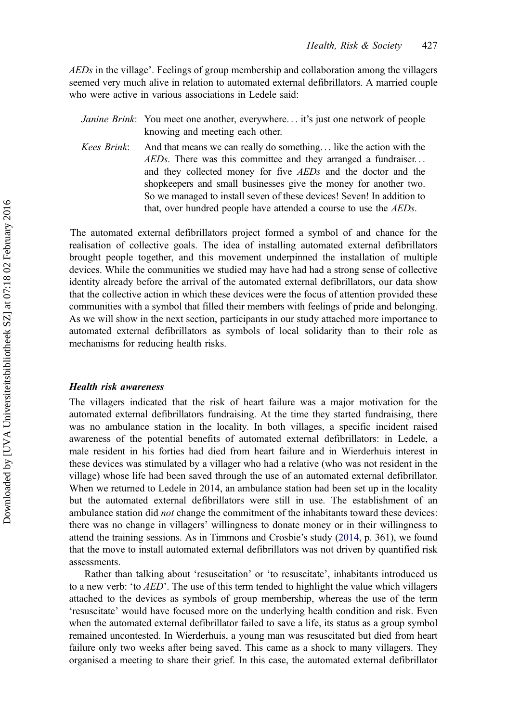AEDs in the village'. Feelings of group membership and collaboration among the villagers seemed very much alive in relation to automated external defibrillators. A married couple who were active in various associations in Ledele said:

- Janine Brink: You meet one another, everywhere... it's just one network of people knowing and meeting each other.
- Kees Brink: And that means we can really do something. . . like the action with the AEDs. There was this committee and they arranged a fundraiser... and they collected money for five AEDs and the doctor and the shopkeepers and small businesses give the money for another two. So we managed to install seven of these devices! Seven! In addition to that, over hundred people have attended a course to use the AEDs.

The automated external defibrillators project formed a symbol of and chance for the realisation of collective goals. The idea of installing automated external defibrillators brought people together, and this movement underpinned the installation of multiple devices. While the communities we studied may have had had a strong sense of collective identity already before the arrival of the automated external defibrillators, our data show that the collective action in which these devices were the focus of attention provided these communities with a symbol that filled their members with feelings of pride and belonging. As we will show in the next section, participants in our study attached more importance to automated external defibrillators as symbols of local solidarity than to their role as mechanisms for reducing health risks.

#### Health risk awareness

The villagers indicated that the risk of heart failure was a major motivation for the automated external defibrillators fundraising. At the time they started fundraising, there was no ambulance station in the locality. In both villages, a specific incident raised awareness of the potential benefits of automated external defibrillators: in Ledele, a male resident in his forties had died from heart failure and in Wierderhuis interest in these devices was stimulated by a villager who had a relative (who was not resident in the village) whose life had been saved through the use of an automated external defibrillator. When we returned to Ledele in 2014, an ambulance station had been set up in the locality but the automated external defibrillators were still in use. The establishment of an ambulance station did *not* change the commitment of the inhabitants toward these devices: there was no change in villagers' willingness to donate money or in their willingness to attend the training sessions. As in Timmons and Crosbie's study [\(2014,](#page-19-0) p. 361), we found that the move to install automated external defibrillators was not driven by quantified risk assessments.

Rather than talking about 'resuscitation' or 'to resuscitate', inhabitants introduced us to a new verb: 'to  $AED$ '. The use of this term tended to highlight the value which villagers attached to the devices as symbols of group membership, whereas the use of the term 'resuscitate' would have focused more on the underlying health condition and risk. Even when the automated external defibrillator failed to save a life, its status as a group symbol remained uncontested. In Wierderhuis, a young man was resuscitated but died from heart failure only two weeks after being saved. This came as a shock to many villagers. They organised a meeting to share their grief. In this case, the automated external defibrillator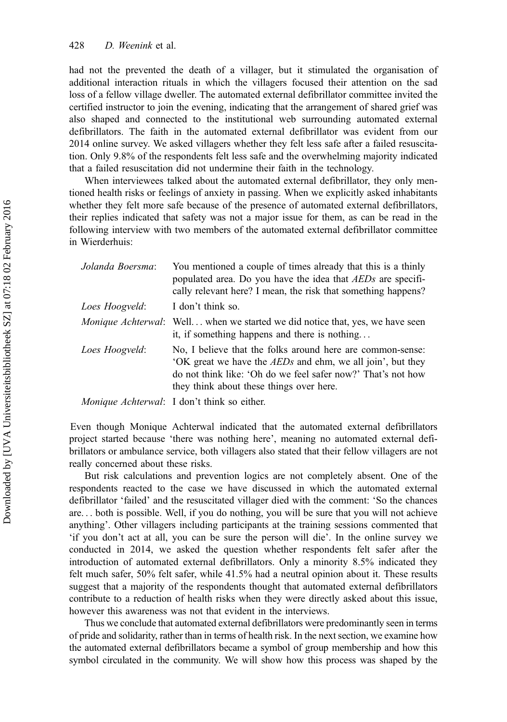had not the prevented the death of a villager, but it stimulated the organisation of additional interaction rituals in which the villagers focused their attention on the sad loss of a fellow village dweller. The automated external defibrillator committee invited the certified instructor to join the evening, indicating that the arrangement of shared grief was also shaped and connected to the institutional web surrounding automated external defibrillators. The faith in the automated external defibrillator was evident from our 2014 online survey. We asked villagers whether they felt less safe after a failed resuscitation. Only 9.8% of the respondents felt less safe and the overwhelming majority indicated that a failed resuscitation did not undermine their faith in the technology.

When interviewees talked about the automated external defibrillator, they only mentioned health risks or feelings of anxiety in passing. When we explicitly asked inhabitants whether they felt more safe because of the presence of automated external defibrillators, their replies indicated that safety was not a major issue for them, as can be read in the following interview with two members of the automated external defibrillator committee in Wierderhuis:

| Jolanda Boersma: | You mentioned a couple of times already that this is a thinly<br>populated area. Do you have the idea that AEDs are specifi-<br>cally relevant here? I mean, the risk that something happens?                                               |
|------------------|---------------------------------------------------------------------------------------------------------------------------------------------------------------------------------------------------------------------------------------------|
| Loes Hoogveld:   | I don't think so.                                                                                                                                                                                                                           |
|                  | <i>Monique Achterwal:</i> Well when we started we did notice that, yes, we have seen<br>it, if something happens and there is nothing                                                                                                       |
| Loes Hoogveld:   | No, I believe that the folks around here are common-sense:<br>'OK great we have the <i>AEDs</i> and ehm, we all join', but they<br>do not think like: 'Oh do we feel safer now?' That's not how<br>they think about these things over here. |

Monique Achterwal: I don't think so either.

Even though Monique Achterwal indicated that the automated external defibrillators project started because 'there was nothing here', meaning no automated external defibrillators or ambulance service, both villagers also stated that their fellow villagers are not really concerned about these risks.

But risk calculations and prevention logics are not completely absent. One of the respondents reacted to the case we have discussed in which the automated external defibrillator 'failed' and the resuscitated villager died with the comment: 'So the chances are. . . both is possible. Well, if you do nothing, you will be sure that you will not achieve anything'. Other villagers including participants at the training sessions commented that 'if you don't act at all, you can be sure the person will die'. In the online survey we conducted in 2014, we asked the question whether respondents felt safer after the introduction of automated external defibrillators. Only a minority 8.5% indicated they felt much safer, 50% felt safer, while 41.5% had a neutral opinion about it. These results suggest that a majority of the respondents thought that automated external defibrillators contribute to a reduction of health risks when they were directly asked about this issue, however this awareness was not that evident in the interviews.

Thus we conclude that automated external defibrillators were predominantly seen in terms of pride and solidarity, rather than in terms of health risk. In the next section, we examine how the automated external defibrillators became a symbol of group membership and how this symbol circulated in the community. We will show how this process was shaped by the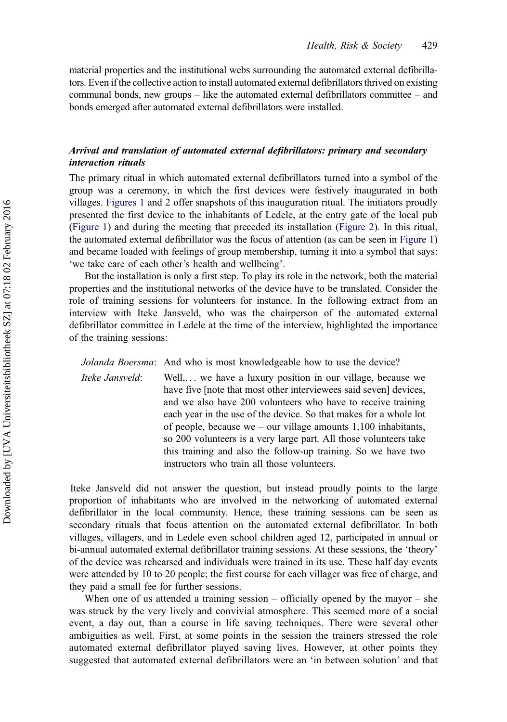material properties and the institutional webs surrounding the automated external defibrillators. Even if the collective action to install automated external defibrillators thrived on existing communal bonds, new groups – like the automated external defibrillators committee – and bonds emerged after automated external defibrillators were installed.

## Arrival and translation of automated external defibrillators: primary and secondary interaction rituals

The primary ritual in which automated external defibrillators turned into a symbol of the group was a ceremony, in which the first devices were festively inaugurated in both villages. [Figures 1](#page-11-0) and [2](#page-11-0) offer snapshots of this inauguration ritual. The initiators proudly presented the first device to the inhabitants of Ledele, at the entry gate of the local pub ([Figure 1\)](#page-11-0) and during the meeting that preceded its installation ([Figure 2](#page-11-0)). In this ritual, the automated external defibrillator was the focus of attention (as can be seen in [Figure 1\)](#page-11-0) and became loaded with feelings of group membership, turning it into a symbol that says: 'we take care of each other's health and wellbeing'.

But the installation is only a first step. To play its role in the network, both the material properties and the institutional networks of the device have to be translated. Consider the role of training sessions for volunteers for instance. In the following extract from an interview with Iteke Jansveld, who was the chairperson of the automated external defibrillator committee in Ledele at the time of the interview, highlighted the importance of the training sessions:

Jolanda Boersma: And who is most knowledgeable how to use the device? Iteke Jansveld: Well,... we have a luxury position in our village, because we have five [note that most other interviewees said seven] devices, and we also have 200 volunteers who have to receive training each year in the use of the device. So that makes for a whole lot of people, because we – our village amounts 1,100 inhabitants, so 200 volunteers is a very large part. All those volunteers take this training and also the follow-up training. So we have two instructors who train all those volunteers.

Iteke Jansveld did not answer the question, but instead proudly points to the large proportion of inhabitants who are involved in the networking of automated external defibrillator in the local community. Hence, these training sessions can be seen as secondary rituals that focus attention on the automated external defibrillator. In both villages, villagers, and in Ledele even school children aged 12, participated in annual or bi-annual automated external defibrillator training sessions. At these sessions, the 'theory' of the device was rehearsed and individuals were trained in its use. These half day events were attended by 10 to 20 people; the first course for each villager was free of charge, and they paid a small fee for further sessions.

When one of us attended a training session – officially opened by the mayor – she was struck by the very lively and convivial atmosphere. This seemed more of a social event, a day out, than a course in life saving techniques. There were several other ambiguities as well. First, at some points in the session the trainers stressed the role automated external defibrillator played saving lives. However, at other points they suggested that automated external defibrillators were an 'in between solution' and that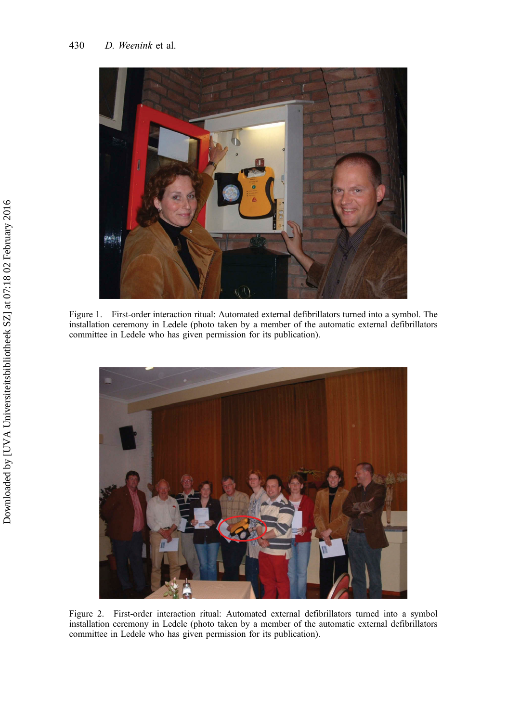<span id="page-11-0"></span>

Figure 1. First-order interaction ritual: Automated external defibrillators turned into a symbol. The installation ceremony in Ledele (photo taken by a member of the automatic external defibrillators committee in Ledele who has given permission for its publication).



Figure 2. First-order interaction ritual: Automated external defibrillators turned into a symbol installation ceremony in Ledele (photo taken by a member of the automatic external defibrillators committee in Ledele who has given permission for its publication).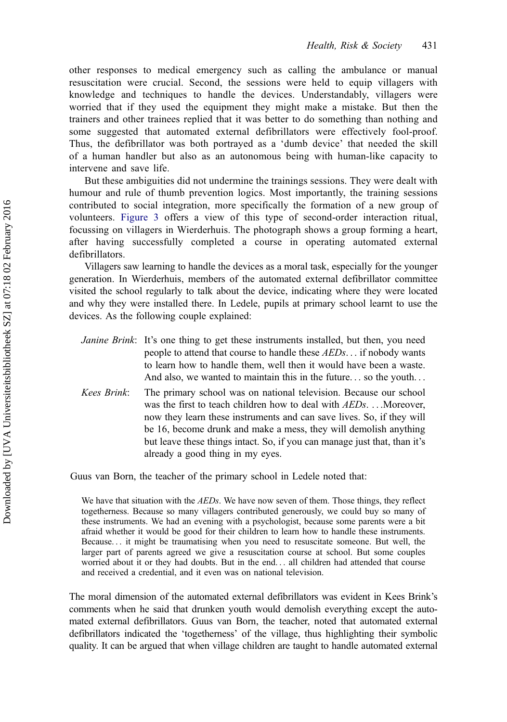other responses to medical emergency such as calling the ambulance or manual resuscitation were crucial. Second, the sessions were held to equip villagers with knowledge and techniques to handle the devices. Understandably, villagers were worried that if they used the equipment they might make a mistake. But then the trainers and other trainees replied that it was better to do something than nothing and some suggested that automated external defibrillators were effectively fool-proof. Thus, the defibrillator was both portrayed as a 'dumb device' that needed the skill of a human handler but also as an autonomous being with human-like capacity to intervene and save life.

But these ambiguities did not undermine the trainings sessions. They were dealt with humour and rule of thumb prevention logics. Most importantly, the training sessions contributed to social integration, more specifically the formation of a new group of volunteers. [Figure 3](#page-13-0) offers a view of this type of second-order interaction ritual, focussing on villagers in Wierderhuis. The photograph shows a group forming a heart, after having successfully completed a course in operating automated external defibrillators.

Villagers saw learning to handle the devices as a moral task, especially for the younger generation. In Wierderhuis, members of the automated external defibrillator committee visited the school regularly to talk about the device, indicating where they were located and why they were installed there. In Ledele, pupils at primary school learnt to use the devices. As the following couple explained:

- *Janine Brink*: It's one thing to get these instruments installed, but then, you need people to attend that course to handle these AEDs. . . if nobody wants to learn how to handle them, well then it would have been a waste. And also, we wanted to maintain this in the future... so the youth...
- Kees Brink: The primary school was on national television. Because our school was the first to teach children how to deal with AEDs. . . . Moreover, now they learn these instruments and can save lives. So, if they will be 16, become drunk and make a mess, they will demolish anything but leave these things intact. So, if you can manage just that, than it's already a good thing in my eyes.

Guus van Born, the teacher of the primary school in Ledele noted that:

We have that situation with the *AEDs*. We have now seven of them. Those things, they reflect togetherness. Because so many villagers contributed generously, we could buy so many of these instruments. We had an evening with a psychologist, because some parents were a bit afraid whether it would be good for their children to learn how to handle these instruments. Because. . . it might be traumatising when you need to resuscitate someone. But well, the larger part of parents agreed we give a resuscitation course at school. But some couples worried about it or they had doubts. But in the end. . . all children had attended that course and received a credential, and it even was on national television.

The moral dimension of the automated external defibrillators was evident in Kees Brink's comments when he said that drunken youth would demolish everything except the automated external defibrillators. Guus van Born, the teacher, noted that automated external defibrillators indicated the 'togetherness' of the village, thus highlighting their symbolic quality. It can be argued that when village children are taught to handle automated external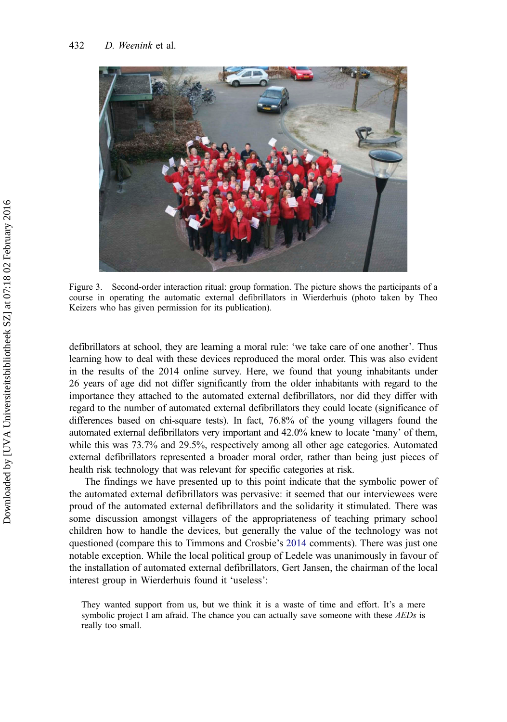<span id="page-13-0"></span>

Figure 3. Second-order interaction ritual: group formation. The picture shows the participants of a course in operating the automatic external defibrillators in Wierderhuis (photo taken by Theo Keizers who has given permission for its publication).

defibrillators at school, they are learning a moral rule: 'we take care of one another'. Thus learning how to deal with these devices reproduced the moral order. This was also evident in the results of the 2014 online survey. Here, we found that young inhabitants under 26 years of age did not differ significantly from the older inhabitants with regard to the importance they attached to the automated external defibrillators, nor did they differ with regard to the number of automated external defibrillators they could locate (significance of differences based on chi-square tests). In fact, 76.8% of the young villagers found the automated external defibrillators very important and 42.0% knew to locate 'many' of them, while this was 73.7% and 29.5%, respectively among all other age categories. Automated external defibrillators represented a broader moral order, rather than being just pieces of health risk technology that was relevant for specific categories at risk.

The findings we have presented up to this point indicate that the symbolic power of the automated external defibrillators was pervasive: it seemed that our interviewees were proud of the automated external defibrillators and the solidarity it stimulated. There was some discussion amongst villagers of the appropriateness of teaching primary school children how to handle the devices, but generally the value of the technology was not questioned (compare this to Timmons and Crosbie's [2014](#page-19-0) comments). There was just one notable exception. While the local political group of Ledele was unanimously in favour of the installation of automated external defibrillators, Gert Jansen, the chairman of the local interest group in Wierderhuis found it 'useless':

They wanted support from us, but we think it is a waste of time and effort. It's a mere symbolic project I am afraid. The chance you can actually save someone with these  $AEDs$  is really too small.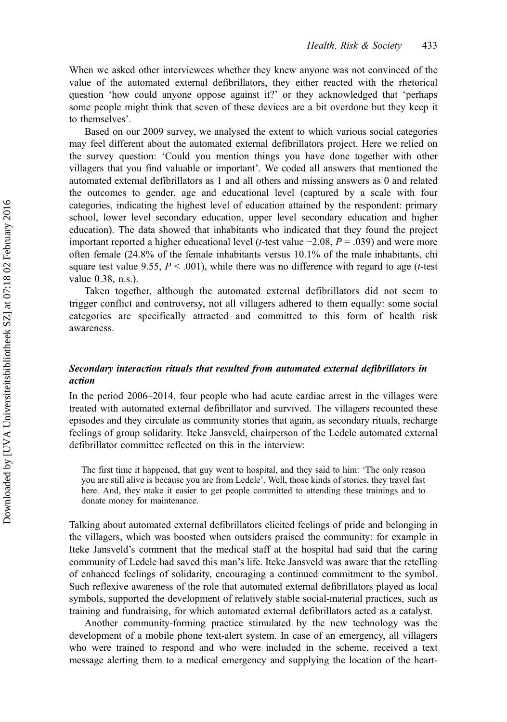When we asked other interviewees whether they knew anyone was not convinced of the value of the automated external defibrillators, they either reacted with the rhetorical question 'how could anyone oppose against it?' or they acknowledged that 'perhaps some people might think that seven of these devices are a bit overdone but they keep it to themselves'.

Based on our 2009 survey, we analysed the extent to which various social categories may feel different about the automated external defibrillators project. Here we relied on the survey question: 'Could you mention things you have done together with other villagers that you find valuable or important'. We coded all answers that mentioned the automated external defibrillators as 1 and all others and missing answers as 0 and related the outcomes to gender, age and educational level (captured by a scale with four categories, indicating the highest level of education attained by the respondent: primary school, lower level secondary education, upper level secondary education and higher education). The data showed that inhabitants who indicated that they found the project important reported a higher educational level (t-test value  $-2.08$ ,  $P = .039$ ) and were more often female (24.8% of the female inhabitants versus 10.1% of the male inhabitants, chi square test value 9.55,  $P < .001$ ), while there was no difference with regard to age (*t*-test value 0.38, n.s.).

Taken together, although the automated external defibrillators did not seem to trigger conflict and controversy, not all villagers adhered to them equally: some social categories are specifically attracted and committed to this form of health risk awareness.

## Secondary interaction rituals that resulted from automated external defibrillators in action

In the period 2006–2014, four people who had acute cardiac arrest in the villages were treated with automated external defibrillator and survived. The villagers recounted these episodes and they circulate as community stories that again, as secondary rituals, recharge feelings of group solidarity. Iteke Jansveld, chairperson of the Ledele automated external defibrillator committee reflected on this in the interview:

The first time it happened, that guy went to hospital, and they said to him: 'The only reason you are still alive is because you are from Ledele'. Well, those kinds of stories, they travel fast here. And, they make it easier to get people committed to attending these trainings and to donate money for maintenance.

Talking about automated external defibrillators elicited feelings of pride and belonging in the villagers, which was boosted when outsiders praised the community: for example in Iteke Jansveld's comment that the medical staff at the hospital had said that the caring community of Ledele had saved this man's life. Iteke Jansveld was aware that the retelling of enhanced feelings of solidarity, encouraging a continued commitment to the symbol. Such reflexive awareness of the role that automated external defibrillators played as local symbols, supported the development of relatively stable social-material practices, such as training and fundraising, for which automated external defibrillators acted as a catalyst.

Another community-forming practice stimulated by the new technology was the development of a mobile phone text-alert system. In case of an emergency, all villagers who were trained to respond and who were included in the scheme, received a text message alerting them to a medical emergency and supplying the location of the heart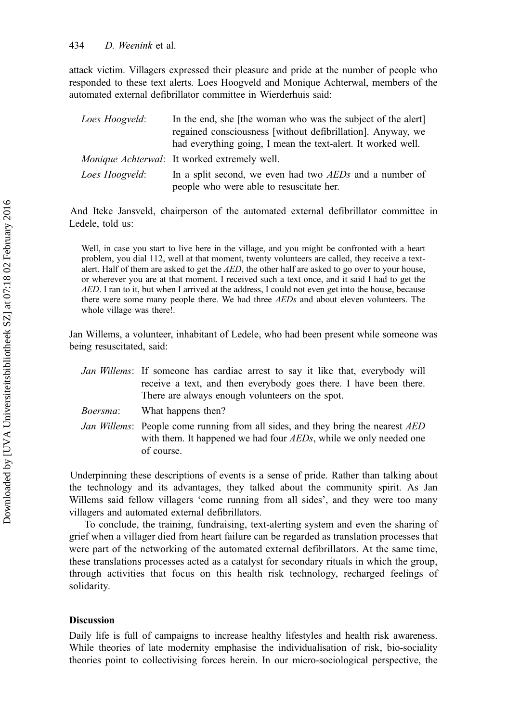attack victim. Villagers expressed their pleasure and pride at the number of people who responded to these text alerts. Loes Hoogveld and Monique Achterwal, members of the automated external defibrillator committee in Wierderhuis said:

| Loes Hoogveld: | In the end, she [the woman who was the subject of the alert]   |
|----------------|----------------------------------------------------------------|
|                | regained consciousness [without defibrillation]. Anyway, we    |
|                | had everything going, I mean the text-alert. It worked well.   |
|                | <i>Monique Achterwal</i> : It worked extremely well.           |
| Loes Hoogveld: | In a split second, we even had two <i>AEDs</i> and a number of |
|                | people who were able to resuscitate her.                       |

And Iteke Jansveld, chairperson of the automated external defibrillator committee in Ledele, told us:

Well, in case you start to live here in the village, and you might be confronted with a heart problem, you dial 112, well at that moment, twenty volunteers are called, they receive a textalert. Half of them are asked to get the AED, the other half are asked to go over to your house, or wherever you are at that moment. I received such a text once, and it said I had to get the AED. I ran to it, but when I arrived at the address, I could not even get into the house, because there were some many people there. We had three AEDs and about eleven volunteers. The whole village was there!.

Jan Willems, a volunteer, inhabitant of Ledele, who had been present while someone was being resuscitated, said:

| Jan Willems: If someone has cardiac arrest to say it like that, everybody will |
|--------------------------------------------------------------------------------|
| receive a text, and then everybody goes there. I have been there.              |
| There are always enough volunteers on the spot.                                |

Boersma: What happens then?

Jan Willems: People come running from all sides, and they bring the nearest AED with them. It happened we had four *AEDs*, while we only needed one of course.

Underpinning these descriptions of events is a sense of pride. Rather than talking about the technology and its advantages, they talked about the community spirit. As Jan Willems said fellow villagers 'come running from all sides', and they were too many villagers and automated external defibrillators.

To conclude, the training, fundraising, text-alerting system and even the sharing of grief when a villager died from heart failure can be regarded as translation processes that were part of the networking of the automated external defibrillators. At the same time, these translations processes acted as a catalyst for secondary rituals in which the group, through activities that focus on this health risk technology, recharged feelings of solidarity.

#### Discussion

Daily life is full of campaigns to increase healthy lifestyles and health risk awareness. While theories of late modernity emphasise the individualisation of risk, bio-sociality theories point to collectivising forces herein. In our micro-sociological perspective, the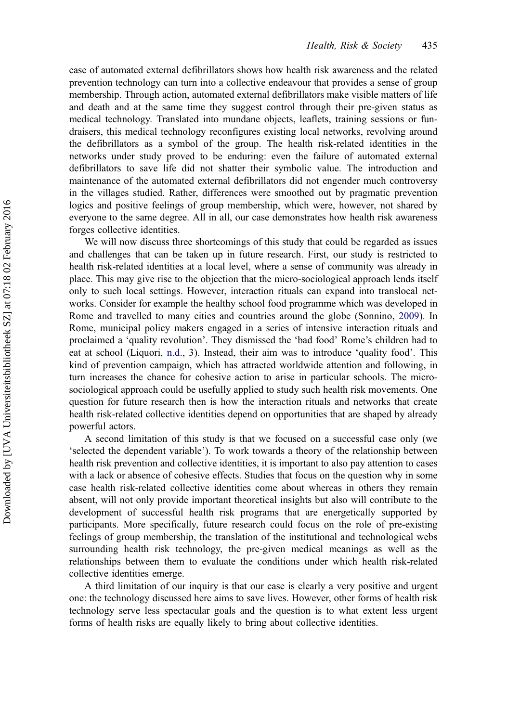<span id="page-16-0"></span>case of automated external defibrillators shows how health risk awareness and the related prevention technology can turn into a collective endeavour that provides a sense of group membership. Through action, automated external defibrillators make visible matters of life and death and at the same time they suggest control through their pre-given status as medical technology. Translated into mundane objects, leaflets, training sessions or fundraisers, this medical technology reconfigures existing local networks, revolving around the defibrillators as a symbol of the group. The health risk-related identities in the networks under study proved to be enduring: even the failure of automated external defibrillators to save life did not shatter their symbolic value. The introduction and maintenance of the automated external defibrillators did not engender much controversy in the villages studied. Rather, differences were smoothed out by pragmatic prevention logics and positive feelings of group membership, which were, however, not shared by everyone to the same degree. All in all, our case demonstrates how health risk awareness forges collective identities.

We will now discuss three shortcomings of this study that could be regarded as issues and challenges that can be taken up in future research. First, our study is restricted to health risk-related identities at a local level, where a sense of community was already in place. This may give rise to the objection that the micro-sociological approach lends itself only to such local settings. However, interaction rituals can expand into translocal networks. Consider for example the healthy school food programme which was developed in Rome and travelled to many cities and countries around the globe (Sonnino, [2009](#page-19-0)). In Rome, municipal policy makers engaged in a series of intensive interaction rituals and proclaimed a 'quality revolution'. They dismissed the 'bad food' Rome's children had to eat at school (Liquori, [n.d](#page-18-0)., 3). Instead, their aim was to introduce 'quality food'. This kind of prevention campaign, which has attracted worldwide attention and following, in turn increases the chance for cohesive action to arise in particular schools. The microsociological approach could be usefully applied to study such health risk movements. One question for future research then is how the interaction rituals and networks that create health risk-related collective identities depend on opportunities that are shaped by already powerful actors.

A second limitation of this study is that we focused on a successful case only (we 'selected the dependent variable'). To work towards a theory of the relationship between health risk prevention and collective identities, it is important to also pay attention to cases with a lack or absence of cohesive effects. Studies that focus on the question why in some case health risk-related collective identities come about whereas in others they remain absent, will not only provide important theoretical insights but also will contribute to the development of successful health risk programs that are energetically supported by participants. More specifically, future research could focus on the role of pre-existing feelings of group membership, the translation of the institutional and technological webs surrounding health risk technology, the pre-given medical meanings as well as the relationships between them to evaluate the conditions under which health risk-related collective identities emerge.

A third limitation of our inquiry is that our case is clearly a very positive and urgent one: the technology discussed here aims to save lives. However, other forms of health risk technology serve less spectacular goals and the question is to what extent less urgent forms of health risks are equally likely to bring about collective identities.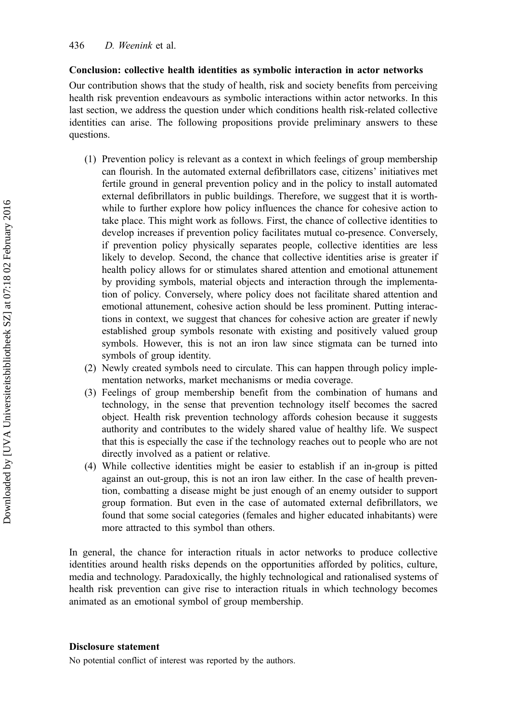#### Conclusion: collective health identities as symbolic interaction in actor networks

Our contribution shows that the study of health, risk and society benefits from perceiving health risk prevention endeavours as symbolic interactions within actor networks. In this last section, we address the question under which conditions health risk-related collective identities can arise. The following propositions provide preliminary answers to these questions.

- (1) Prevention policy is relevant as a context in which feelings of group membership can flourish. In the automated external defibrillators case, citizens' initiatives met fertile ground in general prevention policy and in the policy to install automated external defibrillators in public buildings. Therefore, we suggest that it is worthwhile to further explore how policy influences the chance for cohesive action to take place. This might work as follows. First, the chance of collective identities to develop increases if prevention policy facilitates mutual co-presence. Conversely, if prevention policy physically separates people, collective identities are less likely to develop. Second, the chance that collective identities arise is greater if health policy allows for or stimulates shared attention and emotional attunement by providing symbols, material objects and interaction through the implementation of policy. Conversely, where policy does not facilitate shared attention and emotional attunement, cohesive action should be less prominent. Putting interactions in context, we suggest that chances for cohesive action are greater if newly established group symbols resonate with existing and positively valued group symbols. However, this is not an iron law since stigmata can be turned into symbols of group identity.
- (2) Newly created symbols need to circulate. This can happen through policy implementation networks, market mechanisms or media coverage.
- (3) Feelings of group membership benefit from the combination of humans and technology, in the sense that prevention technology itself becomes the sacred object. Health risk prevention technology affords cohesion because it suggests authority and contributes to the widely shared value of healthy life. We suspect that this is especially the case if the technology reaches out to people who are not directly involved as a patient or relative.
- (4) While collective identities might be easier to establish if an in-group is pitted against an out-group, this is not an iron law either. In the case of health prevention, combatting a disease might be just enough of an enemy outsider to support group formation. But even in the case of automated external defibrillators, we found that some social categories (females and higher educated inhabitants) were more attracted to this symbol than others.

In general, the chance for interaction rituals in actor networks to produce collective identities around health risks depends on the opportunities afforded by politics, culture, media and technology. Paradoxically, the highly technological and rationalised systems of health risk prevention can give rise to interaction rituals in which technology becomes animated as an emotional symbol of group membership.

#### Disclosure statement

No potential conflict of interest was reported by the authors.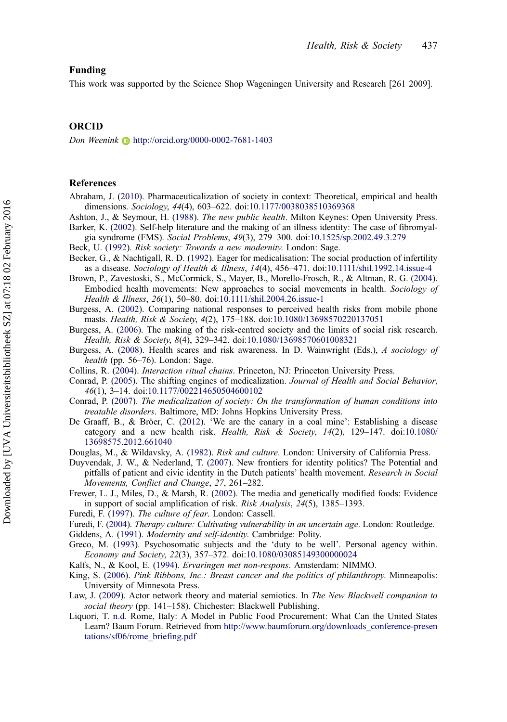#### <span id="page-18-0"></span>Funding

This work was supported by the Science Shop Wageningen University and Research [261 2009].

### **ORCID**

Don Weenink **<http://orcid.org/0000-0002-7681-1403>** 

#### References

- Abraham, J. [\(2010](#page-4-0)). Pharmaceuticalization of society in context: Theoretical, empirical and health dimensions. Sociology, 44(4), 603-622. doi:[10.1177/0038038510369368](http://dx.doi.org/10.1177/0038038510369368)
- Ashton, J., & Seymour, H. ([1988\)](#page-4-0). The new public health. Milton Keynes: Open University Press. Barker, K. [\(2002](#page-4-0)). Self-help literature and the making of an illness identity: The case of fibromyal-
- gia syndrome (FMS). Social Problems, 49(3), 279–300. doi:[10.1525/sp.2002.49.3.279](http://dx.doi.org/10.1525/sp.2002.49.3.279)
- Beck, U. [\(1992](#page-2-0)). Risk society: Towards a new modernity. London: Sage.
- Becker, G., & Nachtigall, R. D. [\(1992](#page-3-0)). Eager for medicalisation: The social production of infertility as a disease. Sociology of Health & Illness,  $14(4)$ ,  $456-471$ . doi:[10.1111/shil.1992.14.issue-4](http://dx.doi.org/10.1111/shil.1992.14.issue-4)
- Brown, P., Zavestoski, S., McCormick, S., Mayer, B., Morello-Frosch, R., & Altman, R. G. ([2004\)](#page-2-0). Embodied health movements: New approaches to social movements in health. Sociology of Health & Illness, 26(1), 50–80. doi:[10.1111/shil.2004.26.issue-1](http://dx.doi.org/10.1111/shil.2004.26.issue-1)
- Burgess, A. [\(2002](#page-4-0)). Comparing national responses to perceived health risks from mobile phone masts. Health, Risk & Society, 4(2), 175–188. doi:[10.1080/13698570220137051](http://dx.doi.org/10.1080/13698570220137051)
- Burgess, A. [\(2006](#page-3-0)). The making of the risk-centred society and the limits of social risk research. Health, Risk & Society, 8(4), 329–342. doi:[10.1080/13698570601008321](http://dx.doi.org/10.1080/13698570601008321)
- Burgess, A. ([2008\)](#page-2-0). Health scares and risk awareness. In D. Wainwright (Eds.), A sociology of health (pp. 56–76). London: Sage.
- Collins, R. [\(2004](#page-2-0)). Interaction ritual chains. Princeton, NJ: Princeton University Press.
- Conrad, P. [\(2005\)](#page-4-0). The shifting engines of medicalization. Journal of Health and Social Behavior, 46(1), 3–14. doi:[10.1177/002214650504600102](http://dx.doi.org/10.1177/002214650504600102)
- Conrad, P. [\(2007](#page-4-0)). The medicalization of society: On the transformation of human conditions into treatable disorders. Baltimore, MD: Johns Hopkins University Press.
- De Graaff, B., & Bröer, C. [\(2012](#page-3-0)). 'We are the canary in a coal mine': Establishing a disease category and a new health risk. Health, Risk & Society,  $14(2)$ ,  $129-147$ . doi:[10.1080/](http://dx.doi.org/10.1080/13698575.2012.661040) [13698575.2012.661040](http://dx.doi.org/10.1080/13698575.2012.661040)
- Douglas, M., & Wildavsky, A. ([1982\)](#page-4-0). Risk and culture. London: University of California Press.
- Duyvendak, J. W., & Nederland, T. [\(2007](#page-2-0)). New frontiers for identity politics? The Potential and pitfalls of patient and civic identity in the Dutch patients' health movement. Research in Social Movements, Conflict and Change, 27, 261–282.
- Frewer, L. J., Miles, D., & Marsh, R. ([2002\)](#page-4-0). The media and genetically modified foods: Evidence in support of social amplification of risk. Risk Analysis, 24(5), 1385–1393.
- Furedi, F. [\(1997\)](#page-2-0). The culture of fear. London: Cassell.
- Furedi, F. [\(2004\)](#page-4-0). Therapy culture: Cultivating vulnerability in an uncertain age. London: Routledge.
- Giddens, A. ([1991\)](#page-2-0). Modernity and self-identity. Cambridge: Polity.
- Greco, M. [\(1993](#page-4-0)). Psychosomatic subjects and the 'duty to be well'. Personal agency within. Economy and Society, 22(3), 357–372. doi:[10.1080/03085149300000024](http://dx.doi.org/10.1080/03085149300000024)
- Kalfs, N., & Kool, E. ([1994\)](#page-6-0). Ervaringen met non-respons. Amsterdam: NIMMO.
- King, S. [\(2006\)](#page-2-0). Pink Ribbons, Inc.: Breast cancer and the politics of philanthropy. Minneapolis: University of Minnesota Press.
- Law, J. [\(2009](#page-2-0)). Actor network theory and material semiotics. In The New Blackwell companion to social theory (pp. 141–158). Chichester: Blackwell Publishing.
- Liquori, T. [n.d](#page-16-0). Rome, Italy: A Model in Public Food Procurement: What Can the United States Learn? Baum Forum. Retrieved from [http://www.baumforum.org/downloads\\_conference-presen](http://www.baumforum.org/downloads_conference-presentations/sf06/rome_briefing.pdf) [tations/sf06/rome\\_briefing.pdf](http://www.baumforum.org/downloads_conference-presentations/sf06/rome_briefing.pdf)